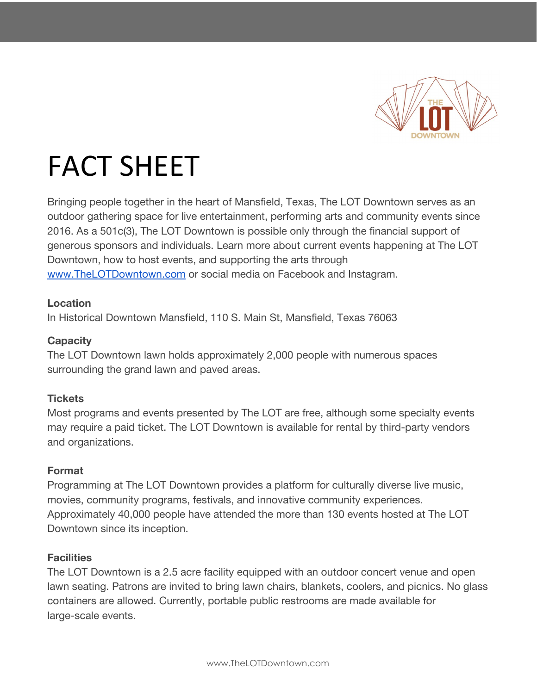

# FACT SHEET

Bringing people together in the heart of Mansfield, Texas, The LOT Downtown serves as an outdoor gathering space for live entertainment, performing arts and community events since 2016. As a 501c(3), The LOT Downtown is possible only through the financial support of generous sponsors and individuals. Learn more about current events happening at The LOT Downtown, how to host events, and supporting the arts through [www.TheLOTDowntown.com](http://www.thelotdowntown.com/) or social media on Facebook and Instagram.

## **Location**

In Historical Downtown Mansfield, 110 S. Main St, Mansfield, Texas 76063

## **Capacity**

The LOT Downtown lawn holds approximately 2,000 people with numerous spaces surrounding the grand lawn and paved areas.

# **Tickets**

Most programs and events presented by The LOT are free, although some specialty events may require a paid ticket. The LOT Downtown is available for rental by third-party vendors and organizations.

## **Format**

Programming at The LOT Downtown provides a platform for culturally diverse live music, movies, community programs, festivals, and innovative community experiences. Approximately 40,000 people have attended the more than 130 events hosted at The LOT Downtown since its inception.

# **Facilities**

The LOT Downtown is a 2.5 acre facility equipped with an outdoor concert venue and open lawn seating. Patrons are invited to bring lawn chairs, blankets, coolers, and picnics. No glass containers are allowed. Currently, portable public restrooms are made available for large-scale events.